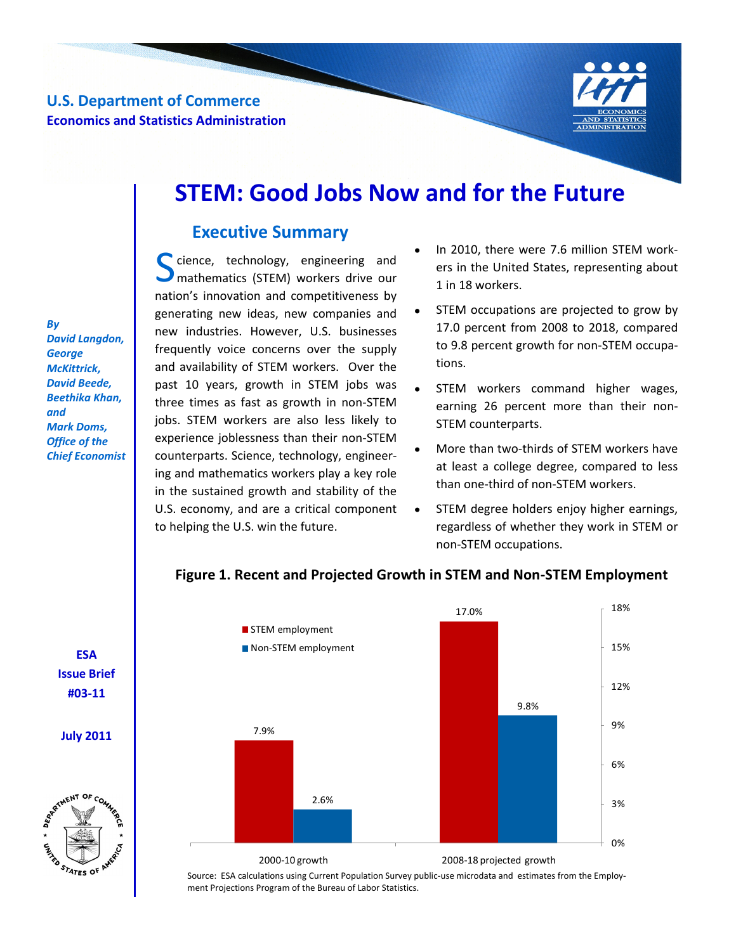**U.S. Department of Commerce Economics and Statistics Administration**



# **STEM: Good Jobs Now and for the Future**

## **Executive Summary**

Science, technology, engineering and<br>
mathematics (STEM) workers drive our mathematics (STEM) workers drive our nation's innovation and competitiveness by generating new ideas, new companies and new industries. However, U.S. businesses frequently voice concerns over the supply and availability of STEM workers. Over the past 10 years, growth in STEM jobs was three times as fast as growth in non-STEM jobs. STEM workers are also less likely to experience joblessness than their non-STEM counterparts. Science, technology, engineering and mathematics workers play a key role in the sustained growth and stability of the U.S. economy, and are a critical component to helping the U.S. win the future.

- In 2010, there were 7.6 million STEM workers in the United States, representing about 1 in 18 workers.
- STEM occupations are projected to grow by 17.0 percent from 2008 to 2018, compared to 9.8 percent growth for non-STEM occupations.
- STEM workers command higher wages,  $\bullet$ earning 26 percent more than their non-STEM counterparts.
- More than two-thirds of STEM workers have at least a college degree, compared to less than one-third of non-STEM workers.
- STEM degree holders enjoy higher earnings, regardless of whether they work in STEM or non-STEM occupations.



## **Figure 1. Recent and Projected Growth in STEM and Non-STEM Employment Figure 1. Recent and Projected Growth in STEM and Non-STEM Employment**

Source: ESA calculations using Current Population Survey public-use microdata and estimates from the Employment Projections Program of the Bureau of Labor Statistics.

*By David Langdon, George McKittrick, David Beede, Beethika Khan, and Mark Doms, Office of the Chief Economist* 

> **ESA Issue Brief #03-11**

**July 2011**

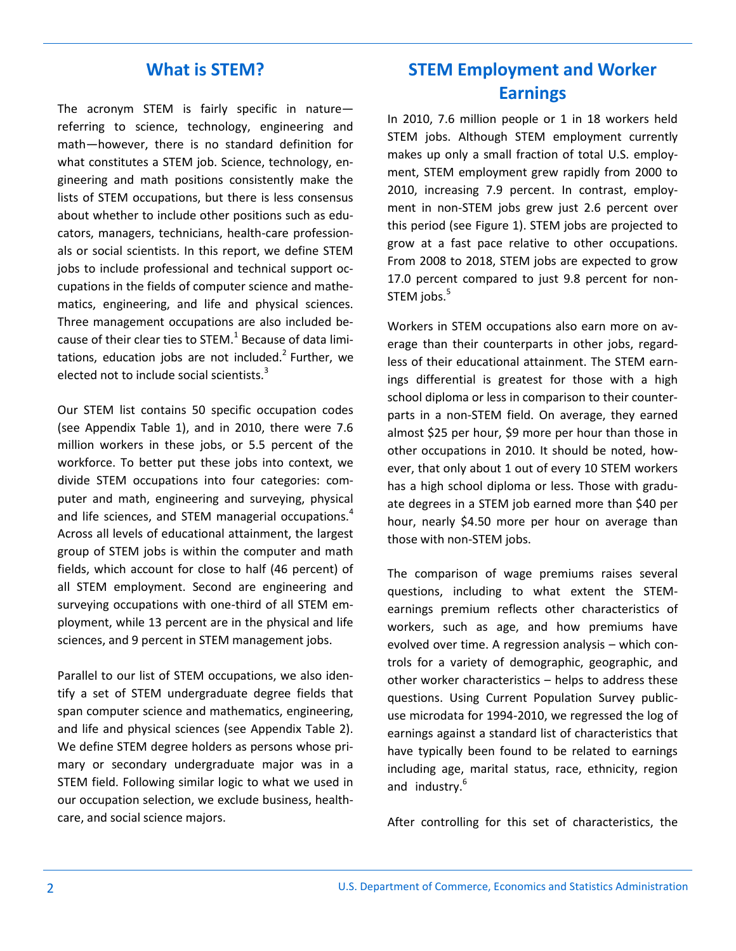## **What is STEM?**

The acronym STEM is fairly specific in nature referring to science, technology, engineering and math—however, there is no standard definition for what constitutes a STEM job. Science, technology, engineering and math positions consistently make the lists of STEM occupations, but there is less consensus about whether to include other positions such as educators, managers, technicians, health-care professionals or social scientists. In this report, we define STEM jobs to include professional and technical support occupations in the fields of computer science and mathematics, engineering, and life and physical sciences. Three management occupations are also included because of their clear ties to STEM. $^{1}$  Because of data limitations, education jobs are not included. $2$  Further, we elected not to include social scientists.<sup>3</sup>

Our STEM list contains 50 specific occupation codes (see Appendix Table 1), and in 2010, there were 7.6 million workers in these jobs, or 5.5 percent of the workforce. To better put these jobs into context, we divide STEM occupations into four categories: computer and math, engineering and surveying, physical and life sciences, and STEM managerial occupations.<sup>4</sup> Across all levels of educational attainment, the largest group of STEM jobs is within the computer and math fields, which account for close to half (46 percent) of all STEM employment. Second are engineering and surveying occupations with one-third of all STEM employment, while 13 percent are in the physical and life sciences, and 9 percent in STEM management jobs.

Parallel to our list of STEM occupations, we also identify a set of STEM undergraduate degree fields that span computer science and mathematics, engineering, and life and physical sciences (see Appendix Table 2). We define STEM degree holders as persons whose primary or secondary undergraduate major was in a STEM field. Following similar logic to what we used in our occupation selection, we exclude business, healthcare, and social science majors.

## **STEM Employment and Worker Earnings**

In 2010, 7.6 million people or 1 in 18 workers held STEM jobs. Although STEM employment currently makes up only a small fraction of total U.S. employment, STEM employment grew rapidly from 2000 to 2010, increasing 7.9 percent. In contrast, employment in non-STEM jobs grew just 2.6 percent over this period (see Figure 1). STEM jobs are projected to grow at a fast pace relative to other occupations. From 2008 to 2018, STEM jobs are expected to grow 17.0 percent compared to just 9.8 percent for non-STEM jobs.<sup>5</sup>

Workers in STEM occupations also earn more on average than their counterparts in other jobs, regardless of their educational attainment. The STEM earnings differential is greatest for those with a high school diploma or less in comparison to their counterparts in a non-STEM field. On average, they earned almost \$25 per hour, \$9 more per hour than those in other occupations in 2010. It should be noted, however, that only about 1 out of every 10 STEM workers has a high school diploma or less. Those with graduate degrees in a STEM job earned more than \$40 per hour, nearly \$4.50 more per hour on average than those with non-STEM jobs.

The comparison of wage premiums raises several questions, including to what extent the STEMearnings premium reflects other characteristics of workers, such as age, and how premiums have evolved over time. A regression analysis – which controls for a variety of demographic, geographic, and other worker characteristics – helps to address these questions. Using Current Population Survey publicuse microdata for 1994-2010, we regressed the log of earnings against a standard list of characteristics that have typically been found to be related to earnings including age, marital status, race, ethnicity, region and industry. $6$ 

After controlling for this set of characteristics, the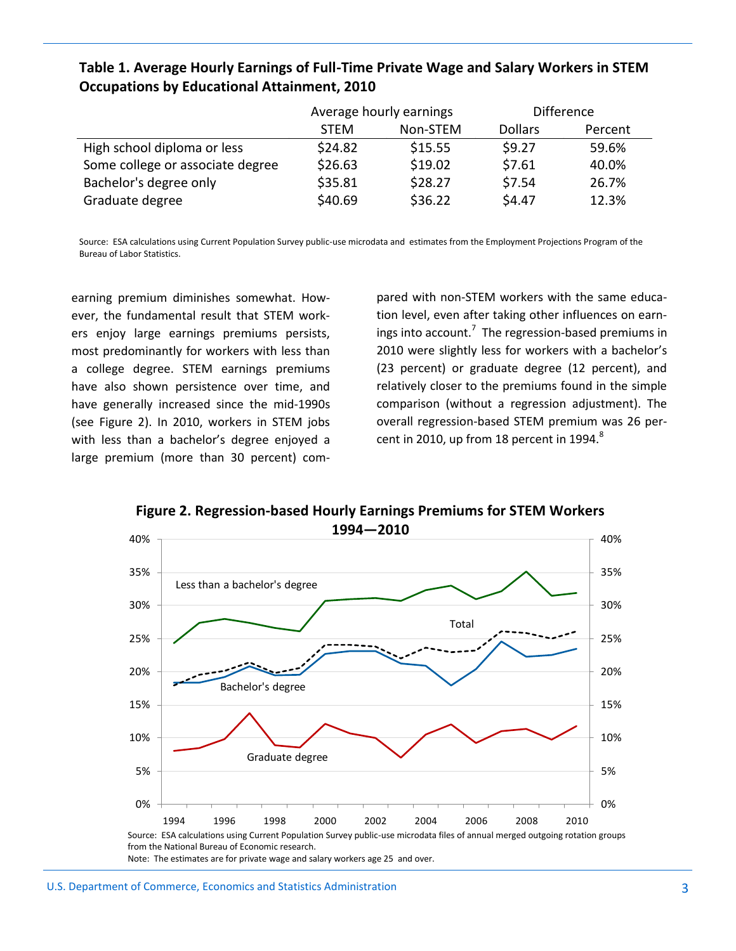## **Table 1. Average Hourly Earnings of Full-Time Private Wage and Salary Workers in STEM Occupations by Educational Attainment, 2010**

|                                  | Average hourly earnings |          | <b>Difference</b> |         |
|----------------------------------|-------------------------|----------|-------------------|---------|
|                                  | <b>STFM</b>             | Non-STEM | <b>Dollars</b>    | Percent |
| High school diploma or less      | \$24.82                 | \$15.55  | \$9.27            | 59.6%   |
| Some college or associate degree | \$26.63                 | \$19.02  | \$7.61            | 40.0%   |
| Bachelor's degree only           | \$35.81                 | \$28.27  | \$7.54            | 26.7%   |
| Graduate degree                  | \$40.69                 | \$36.22  | \$4.47            | 12.3%   |

Source: ESA calculations using Current Population Survey public-use microdata and estimates from the Employment Projections Program of the Bureau of Labor Statistics.

earning premium diminishes somewhat. However, the fundamental result that STEM workers enjoy large earnings premiums persists, most predominantly for workers with less than a college degree. STEM earnings premiums have also shown persistence over time, and have generally increased since the mid-1990s (see Figure 2). In 2010, workers in STEM jobs with less than a bachelor's degree enjoyed a large premium (more than 30 percent) compared with non-STEM workers with the same education level, even after taking other influences on earnings into account.<sup>7</sup> The regression-based premiums in 2010 were slightly less for workers with a bachelor's (23 percent) or graduate degree (12 percent), and relatively closer to the premiums found in the simple comparison (without a regression adjustment). The overall regression-based STEM premium was 26 percent in 2010, up from 18 percent in 1994. $8$ 



**Figure 2: Regression-based Hourly Earnings Premiums for STEM Workers Figure 2. Regression-based Hourly Earnings Premiums for STEM Workers**

j

Note: The estimates are for private wage and salary workers age 25 and over. Note: The estimates are for private wage and salary workers age 25 and over.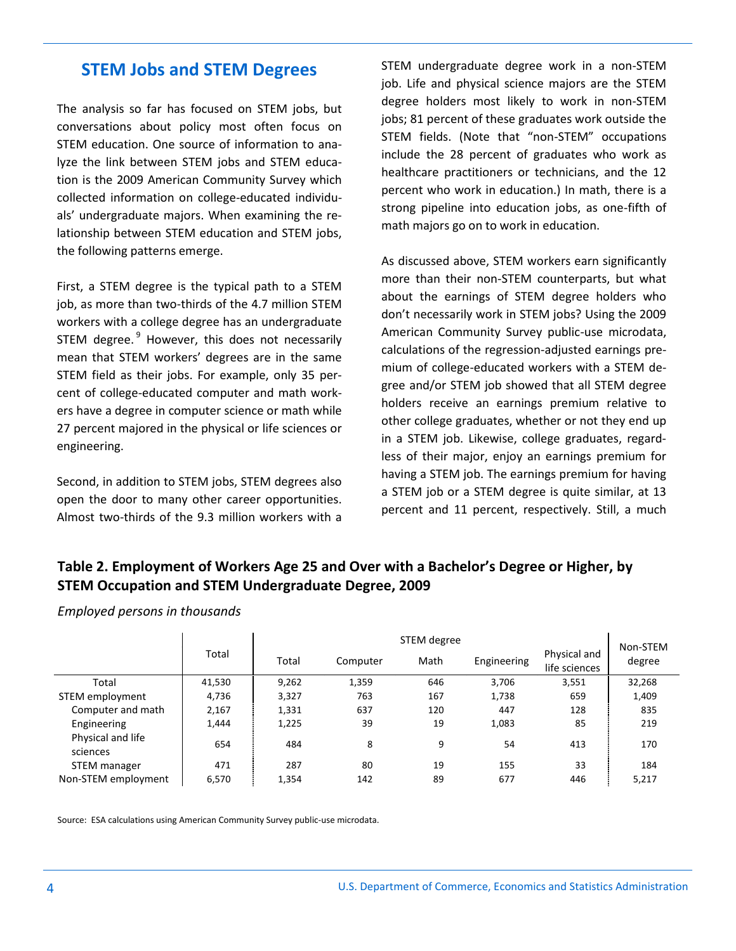## **STEM Jobs and STEM Degrees**

The analysis so far has focused on STEM jobs, but conversations about policy most often focus on STEM education. One source of information to analyze the link between STEM jobs and STEM education is the 2009 American Community Survey which collected information on college-educated individuals' undergraduate majors. When examining the relationship between STEM education and STEM jobs, the following patterns emerge.

First, a STEM degree is the typical path to a STEM job, as more than two-thirds of the 4.7 million STEM workers with a college degree has an undergraduate STEM degree. <sup>9</sup> However, this does not necessarily mean that STEM workers' degrees are in the same STEM field as their jobs. For example, only 35 percent of college-educated computer and math workers have a degree in computer science or math while 27 percent majored in the physical or life sciences or engineering.

Second, in addition to STEM jobs, STEM degrees also open the door to many other career opportunities. Almost two-thirds of the 9.3 million workers with a

STEM undergraduate degree work in a non-STEM job. Life and physical science majors are the STEM degree holders most likely to work in non-STEM jobs; 81 percent of these graduates work outside the STEM fields. (Note that "non-STEM" occupations include the 28 percent of graduates who work as healthcare practitioners or technicians, and the 12 percent who work in education.) In math, there is a strong pipeline into education jobs, as one-fifth of math majors go on to work in education.

As discussed above, STEM workers earn significantly more than their non-STEM counterparts, but what about the earnings of STEM degree holders who don't necessarily work in STEM jobs? Using the 2009 American Community Survey public-use microdata, calculations of the regression-adjusted earnings premium of college-educated workers with a STEM degree and/or STEM job showed that all STEM degree holders receive an earnings premium relative to other college graduates, whether or not they end up in a STEM job. Likewise, college graduates, regardless of their major, enjoy an earnings premium for having a STEM job. The earnings premium for having a STEM job or a STEM degree is quite similar, at 13 percent and 11 percent, respectively. Still, a much

## **Table 2. Employment of Workers Age 25 and Over with a Bachelor's Degree or Higher, by STEM Occupation and STEM Undergraduate Degree, 2009**

|                               |        | STEM degree |          |      |             | Non-STEM                      |        |
|-------------------------------|--------|-------------|----------|------|-------------|-------------------------------|--------|
|                               | Total  | Total       | Computer | Math | Engineering | Physical and<br>life sciences | degree |
| Total                         | 41,530 | 9,262       | 1,359    | 646  | 3,706       | 3,551                         | 32,268 |
| STEM employment               | 4,736  | 3,327       | 763      | 167  | 1,738       | 659                           | 1,409  |
| Computer and math             | 2,167  | 1,331       | 637      | 120  | 447         | 128                           | 835    |
| Engineering                   | 1,444  | 1,225       | 39       | 19   | 1,083       | 85                            | 219    |
| Physical and life<br>sciences | 654    | 484         | 8        | 9    | 54          | 413                           | 170    |
| STEM manager                  | 471    | 287         | 80       | 19   | 155         | 33                            | 184    |
| Non-STEM employment           | 6,570  | 1,354       | 142      | 89   | 677         | 446                           | 5,217  |

*Employed persons in thousands*

Source: ESA calculations using American Community Survey public-use microdata.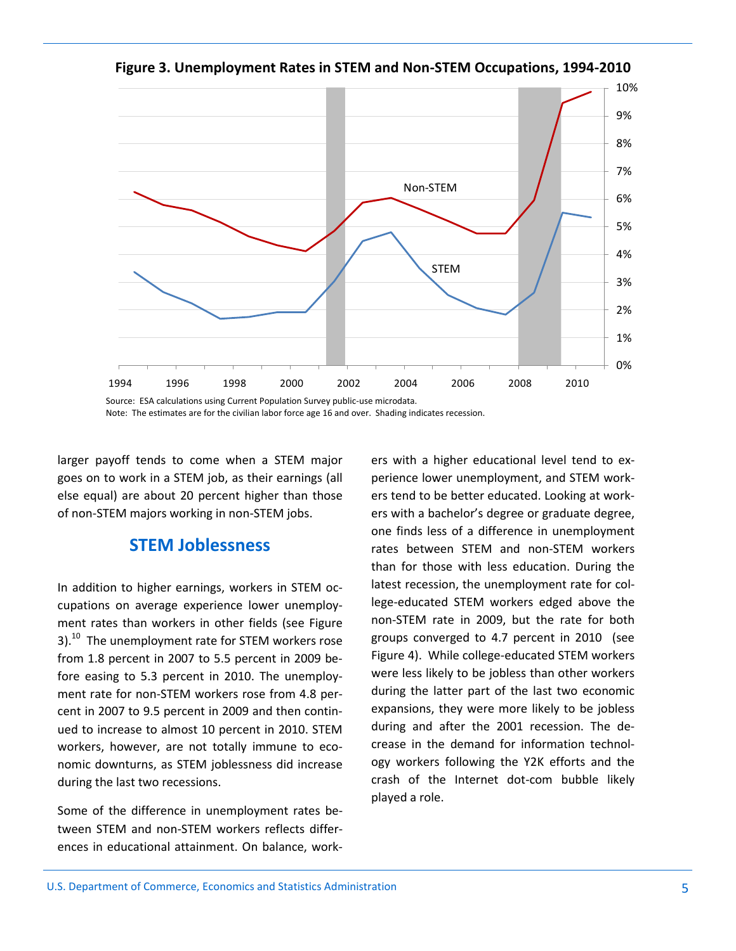0% 1% 2% 3% 4% 5% 6% 7% 8% 9% 10% 1994 1996 1998 2000 2002 2004 2006 2008 2010 STEM Non-STEM

**Figure 3: Unemployment Rates in STEM and Non-STEM Occupations, 1994-2010 Figure 3. Unemployment Rates in STEM and Non-STEM Occupations, 1994-2010**

Source: ESA calculations using Current Population Survey public-use microdata. Source: ESA calculations using Current Population Survey public-use microdata. Note: The estimates are for the civilian labor force age 16 and over. Shading indicates recession. Note: The estimates are for the civilian labor force age 16 and over. Shading indicates recession.

larger payoff tends to come when a STEM major goes on to work in a STEM job, as their earnings (all else equal) are about 20 percent higher than those of non-STEM majors working in non-STEM jobs.

## **STEM Joblessness**

In addition to higher earnings, workers in STEM occupations on average experience lower unemployment rates than workers in other fields (see Figure 3). $^{10}$  The unemployment rate for STEM workers rose from 1.8 percent in 2007 to 5.5 percent in 2009 before easing to 5.3 percent in 2010. The unemployment rate for non-STEM workers rose from 4.8 percent in 2007 to 9.5 percent in 2009 and then continued to increase to almost 10 percent in 2010. STEM workers, however, are not totally immune to economic downturns, as STEM joblessness did increase during the last two recessions.

Some of the difference in unemployment rates between STEM and non-STEM workers reflects differences in educational attainment. On balance, workers with a higher educational level tend to experience lower unemployment, and STEM workers tend to be better educated. Looking at workers with a bachelor's degree or graduate degree, one finds less of a difference in unemployment rates between STEM and non-STEM workers than for those with less education. During the latest recession, the unemployment rate for college-educated STEM workers edged above the non-STEM rate in 2009, but the rate for both groups converged to 4.7 percent in 2010 (see Figure 4). While college-educated STEM workers were less likely to be jobless than other workers during the latter part of the last two economic expansions, they were more likely to be jobless during and after the 2001 recession. The decrease in the demand for information technology workers following the Y2K efforts and the crash of the Internet dot-com bubble likely played a role.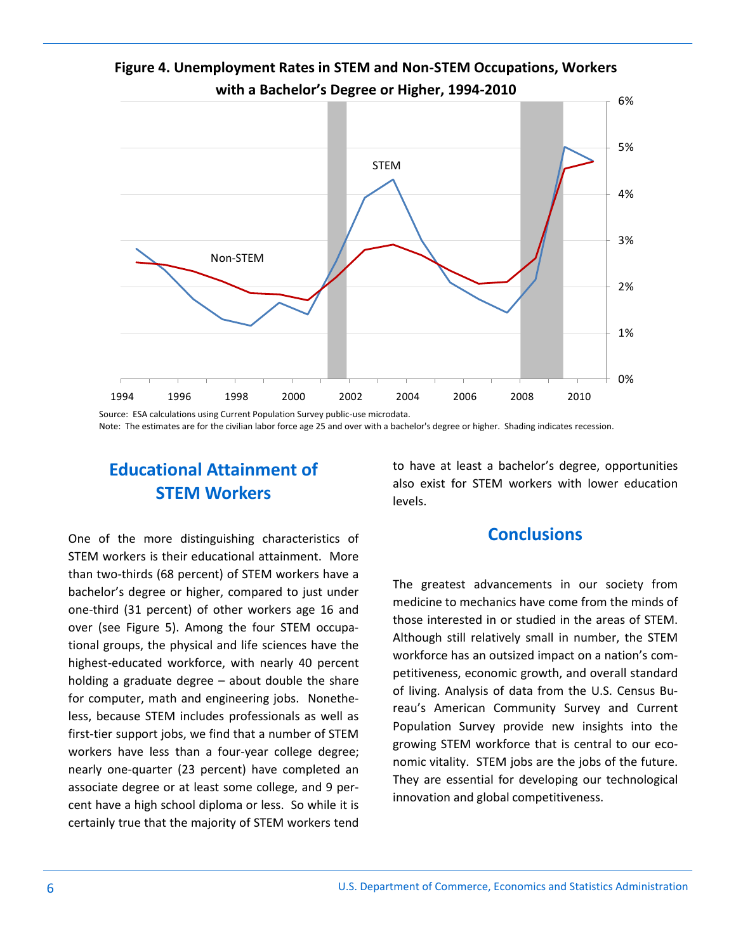

## **Figure 4: Unemployment Rates in STEM and Non-STEM Occupations, Workers Figure 4. Unemployment Rates in STEM and Non-STEM Occupations, Workers with a Bachelor's Degree or Higher, 1994-2010**

Source: ESA calculations using Current Population Survey public-use microdata. Source: ESA calculations using Current Population Survey public-use microdata. Note: The estimates are for the civilian labor force age 25 and over with a bachelor's degree or higher. Shading indicates recession.

## **Educational Attainment of STEM Workers**

One of the more distinguishing characteristics of STEM workers is their educational attainment. More than two-thirds (68 percent) of STEM workers have a bachelor's degree or higher, compared to just under one-third (31 percent) of other workers age 16 and over (see Figure 5). Among the four STEM occupational groups, the physical and life sciences have the highest-educated workforce, with nearly 40 percent holding a graduate degree – about double the share for computer, math and engineering jobs. Nonetheless, because STEM includes professionals as well as first-tier support jobs, we find that a number of STEM workers have less than a four-year college degree; nearly one-quarter (23 percent) have completed an associate degree or at least some college, and 9 percent have a high school diploma or less. So while it is certainly true that the majority of STEM workers tend to have at least a bachelor's degree, opportunities also exist for STEM workers with lower education levels.

## **Conclusions**

The greatest advancements in our society from medicine to mechanics have come from the minds of those interested in or studied in the areas of STEM. Although still relatively small in number, the STEM workforce has an outsized impact on a nation's competitiveness, economic growth, and overall standard of living. Analysis of data from the U.S. Census Bureau's American Community Survey and Current Population Survey provide new insights into the growing STEM workforce that is central to our economic vitality. STEM jobs are the jobs of the future. They are essential for developing our technological innovation and global competitiveness.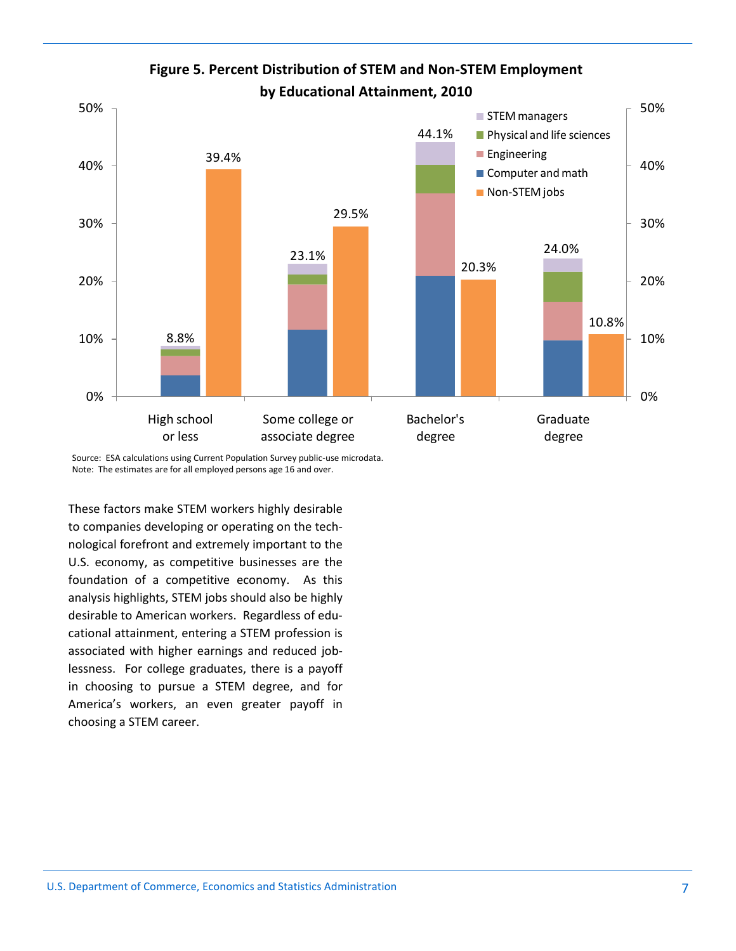

## **Figure 5. Percent Distribution of STEM and Non-STEM Employment Figure 5. Percent Distribution of STEM and Non-STEM Employment by Educational Attainment, 2010 by Educational Attainment, 2010**

Source: ESA calculations using Current Population Survey public-use microdata. Source: ESA calculations using Current Population Survey public-use microdata. Note: The estimates are for all employed persons age 16 and over. Note: The estimates are for all employed persons age 16 and over.

These factors make STEM workers highly desirable to companies developing or operating on the technological forefront and extremely important to the U.S. economy, as competitive businesses are the foundation of a competitive economy. As this analysis highlights, STEM jobs should also be highly desirable to American workers. Regardless of educational attainment, entering a STEM profession is associated with higher earnings and reduced joblessness. For college graduates, there is a payoff in choosing to pursue a STEM degree, and for America's workers, an even greater payoff in choosing a STEM career.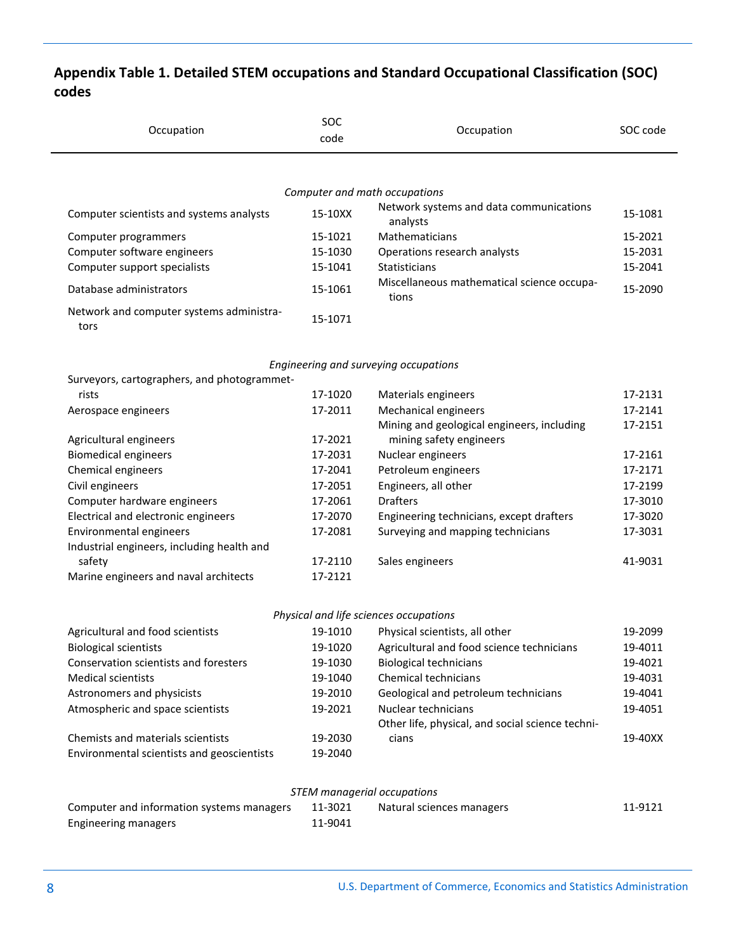## **Appendix Table 1. Detailed STEM occupations and Standard Occupational Classification (SOC) codes**

| Occupation                                       | SOC<br>code | Occupation                                                               | SOC code           |
|--------------------------------------------------|-------------|--------------------------------------------------------------------------|--------------------|
|                                                  |             |                                                                          |                    |
|                                                  |             | Computer and math occupations<br>Network systems and data communications |                    |
| Computer scientists and systems analysts         | 15-10XX     | analysts                                                                 | 15-1081            |
| Computer programmers                             | 15-1021     | Mathematicians                                                           | 15-2021            |
| Computer software engineers                      | 15-1030     | Operations research analysts                                             | 15-2031            |
| Computer support specialists                     | 15-1041     | <b>Statisticians</b>                                                     | 15-2041            |
| Database administrators                          | 15-1061     | Miscellaneous mathematical science occupa-<br>tions                      | 15-2090            |
| Network and computer systems administra-<br>tors | 15-1071     |                                                                          |                    |
|                                                  |             | Engineering and surveying occupations                                    |                    |
| Surveyors, cartographers, and photogrammet-      |             |                                                                          |                    |
| rists                                            | 17-1020     | Materials engineers                                                      | 17-2131            |
| Aerospace engineers                              | 17-2011     | Mechanical engineers<br>Mining and geological engineers, including       | 17-2141<br>17-2151 |
| Agricultural engineers                           | 17-2021     | mining safety engineers                                                  |                    |
| <b>Biomedical engineers</b>                      | 17-2031     | Nuclear engineers                                                        | 17-2161            |
| Chemical engineers                               | 17-2041     | Petroleum engineers                                                      | 17-2171            |
| Civil engineers                                  | 17-2051     | Engineers, all other                                                     | 17-2199            |
| Computer hardware engineers                      | 17-2061     | <b>Drafters</b>                                                          | 17-3010            |
| Electrical and electronic engineers              | 17-2070     | Engineering technicians, except drafters                                 | 17-3020            |
| Environmental engineers                          | 17-2081     | Surveying and mapping technicians                                        | 17-3031            |
| Industrial engineers, including health and       |             |                                                                          |                    |
| safety                                           | 17-2110     | Sales engineers                                                          | 41-9031            |
| Marine engineers and naval architects            | 17-2121     |                                                                          |                    |
|                                                  |             | Physical and life sciences occupations                                   |                    |
| Agricultural and food scientists                 | 19-1010     | Physical scientists, all other                                           | 19-2099            |
| <b>Biological scientists</b>                     | 19-1020     | Agricultural and food science technicians                                | 19-4011            |
| Conservation scientists and foresters            | 19-1030     | <b>Biological technicians</b>                                            | 19-4021            |
| <b>Medical scientists</b>                        | 19-1040     | Chemical technicians                                                     | 19-4031            |
| Astronomers and physicists                       | 19-2010     | Geological and petroleum technicians                                     | 19-4041            |
| Atmospheric and space scientists                 | 19-2021     | Nuclear technicians                                                      | 19-4051            |
|                                                  |             | Other life, physical, and social science techni-                         |                    |
| Chemists and materials scientists                | 19-2030     | cians                                                                    | 19-40XX            |

| STEM managerial occupations               |         |                           |         |  |  |
|-------------------------------------------|---------|---------------------------|---------|--|--|
| Computer and information systems managers | 11-3021 | Natural sciences managers | 11-9121 |  |  |
| <b>Engineering managers</b>               | 11-9041 |                           |         |  |  |

Environmental scientists and geoscientists 19-2040

 $\blacksquare$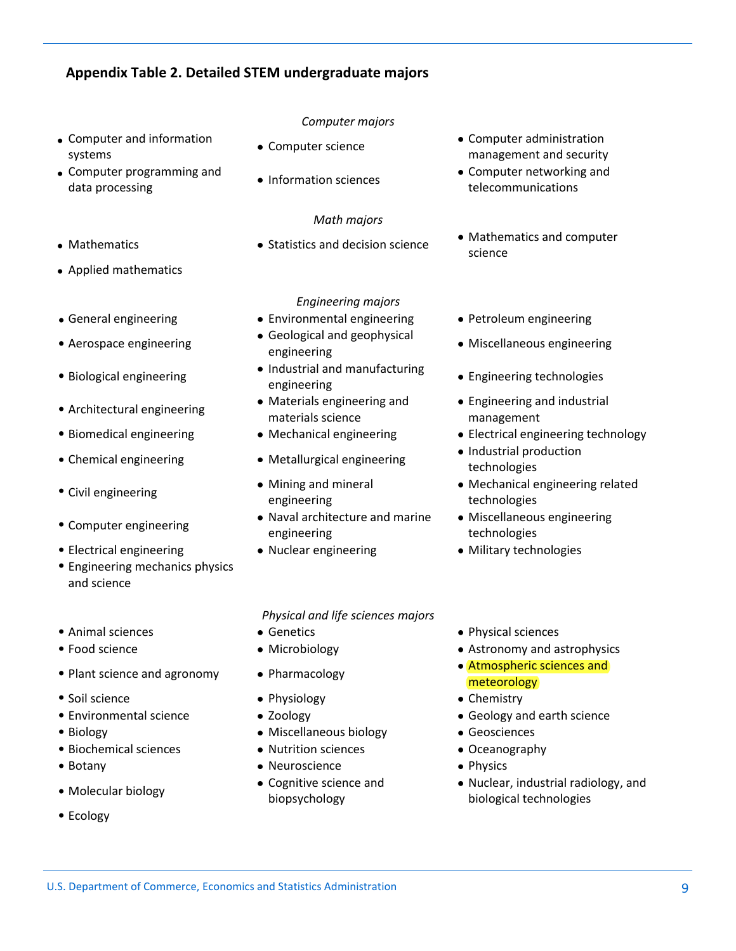### **Appendix Table 2. Detailed STEM undergraduate majors**

- Computer and information systems
- Computer programming and <br>
data processing **a** Information sciences<br>
data processing<br>
data processing
- 
- Applied mathematics
- 
- 
- 
- 
- 
- 
- 
- 
- Electrical engineering Nuclear engineering Military technologies
- Engineering mechanics physics and science
- 
- 
- 
- Soil science **Chemistry Physiology <b>Chemistry** Chemistry Chemistry
- 
- 
- Biochemical sciences Nutrition sciences Oceanography
- 
- 
- Ecology

#### *Computer majors*

- 
- 

#### *Math majors*

#### *Engineering majors*

- General engineering Environmental engineering Petroleum engineering
- Aerospace engineering <br>engineering engineering
- Biological engineering <br> **Industrial and manufacturing**<br> **Industrial and manufacturing**
- Architectural engineering values and Materials engineering and materials science
	-
	-
- Civil engineering **Mining and mineral** engineering
- Computer engineering Naval architecture and marine engineering
	-

*Physical and life sciences majors*

- 
- 
- 
- 
- 
- Biology Miscellaneous biology Geosciences
	-
- Botany **and Solution Contract Contract Contract Contract Contract Contract Contract Contract Contract Contract Contract Contract Contract Contract Contract Contract Contract Contract Contract Contract Contract Contract C**
- Molecular biology Cognitive science and biopsychology
- Computer science **Computer administration** management and security
	- telecommunications
- Mathematics **Statistics and decision science** Mathematics and computer science
	-
	- Miscellaneous engineering
	- Engineering technologies
	- Engineering and industrial management
- Biomedical engineering Mechanical engineering Electrical engineering technology
- Chemical engineering Metallurgical engineering Industrial production technologies
	- Mechanical engineering related technologies
	- Miscellaneous engineering technologies
	-
- Animal sciences Genetics Physical sciences
- Food science **Microbiology** Microbiology **Astronomy and astrophysics** Astronomy and astrophysics
- Plant science and agronomy Pharmacology Atmospheric sciences and meteorology
	-
- Environmental science  $\bullet$  Zoology  $\bullet$  Geology and earth science
	-
	-
	-
	- Nuclear, industrial radiology, and biological technologies